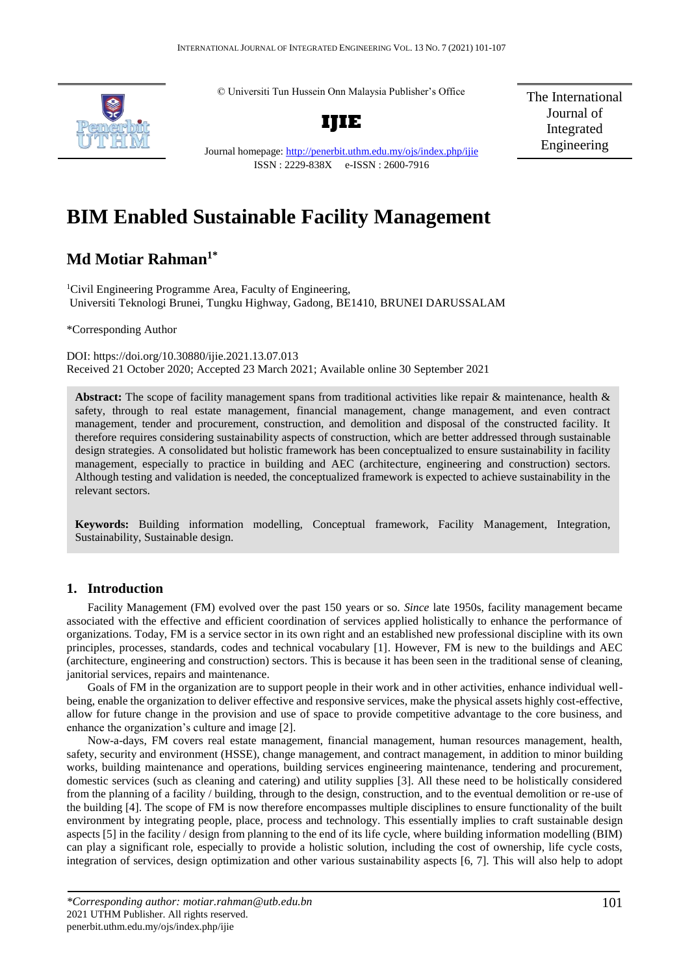© Universiti Tun Hussein Onn Malaysia Publisher's Office



The International Journal of Integrated Engineering

Journal homepage:<http://penerbit.uthm.edu.my/ojs/index.php/ijie> ISSN : 2229-838X e-ISSN : 2600-7916

# **BIM Enabled Sustainable Facility Management**

## **Md Motiar Rahman1\***

<sup>1</sup>Civil Engineering Programme Area, Faculty of Engineering, Universiti Teknologi Brunei, Tungku Highway, Gadong, BE1410, BRUNEI DARUSSALAM

\*Corresponding Author

DOI: https://doi.org/10.30880/ijie.2021.13.07.013 Received 21 October 2020; Accepted 23 March 2021; Available online 30 September 2021

Abstract: The scope of facility management spans from traditional activities like repair & maintenance, health & safety, through to real estate management, financial management, change management, and even contract management, tender and procurement, construction, and demolition and disposal of the constructed facility. It therefore requires considering sustainability aspects of construction, which are better addressed through sustainable design strategies. A consolidated but holistic framework has been conceptualized to ensure sustainability in facility management, especially to practice in building and AEC (architecture, engineering and construction) sectors. Although testing and validation is needed, the conceptualized framework is expected to achieve sustainability in the relevant sectors.

**Keywords:** Building information modelling, Conceptual framework, Facility Management, Integration, Sustainability, Sustainable design.

## **1. Introduction**

Facility Management (FM) evolved over the past 150 years or so. *Since* late 1950s, facility management became associated with the effective and efficient coordination of services applied holistically to enhance the performance of organizations. Today, FM is a service sector in its own right and an established new professional discipline with its own principles, processes, standards, codes and technical vocabulary [1]. However, FM is new to the buildings and AEC (architecture, engineering and construction) sectors. This is because it has been seen in the traditional sense of cleaning, janitorial services, repairs and maintenance.

Goals of FM in the organization are to support people in their work and in other activities, enhance individual wellbeing, enable the organization to deliver effective and responsive services, make the physical assets highly cost-effective, allow for future change in the provision and use of space to provide competitive advantage to the core business, and enhance the organization's culture and image [2].

Now-a-days, FM covers real estate management, financial management, human resources management, health, safety, security and environment (HSSE), change management, and contract management, in addition to minor building works, building maintenance and operations, building services engineering maintenance, tendering and procurement, domestic services (such as cleaning and catering) and utility supplies [3]. All these need to be holistically considered from the planning of a facility / building, through to the design, construction, and to the eventual demolition or re-use of the building [4]. The scope of FM is now therefore encompasses multiple disciplines to ensure functionality of the built environment by integrating people, place, process and technology. This essentially implies to craft sustainable design aspects [5] in the facility / design from planning to the end of its life cycle, where building information modelling (BIM) can play a significant role, especially to provide a holistic solution, including the cost of ownership, life cycle costs, integration of services, design optimization and other various sustainability aspects [6, 7]. This will also help to adopt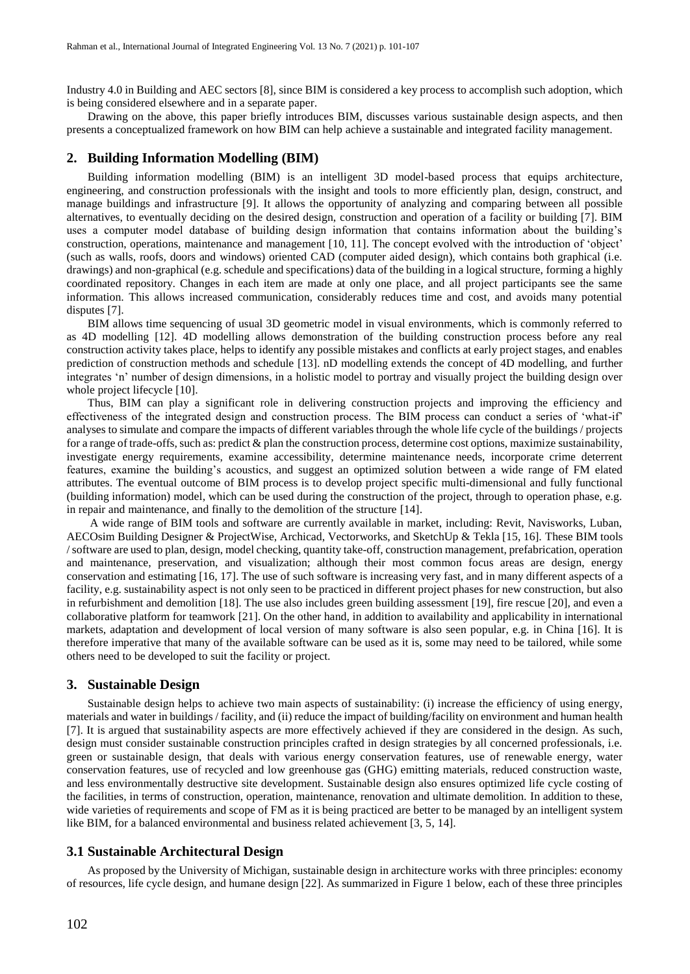Industry 4.0 in Building and AEC sectors [8], since BIM is considered a key process to accomplish such adoption, which is being considered elsewhere and in a separate paper.

Drawing on the above, this paper briefly introduces BIM, discusses various sustainable design aspects, and then presents a conceptualized framework on how BIM can help achieve a sustainable and integrated facility management.

#### **2. Building Information Modelling (BIM)**

Building information modelling (BIM) is an intelligent 3D model-based process that equips architecture, engineering, and construction professionals with the insight and tools to more efficiently plan, design, construct, and manage buildings and infrastructure [9]. It allows the opportunity of analyzing and comparing between all possible alternatives, to eventually deciding on the desired design, construction and operation of a facility or building [7]. BIM uses a computer model database of building design information that contains information about the building's construction, operations, maintenance and management [10, 11]. The concept evolved with the introduction of 'object' (such as walls, roofs, doors and windows) oriented CAD (computer aided design), which contains both graphical (i.e. drawings) and non-graphical (e.g. schedule and specifications) data of the building in a logical structure, forming a highly coordinated repository. Changes in each item are made at only one place, and all project participants see the same information. This allows increased communication, considerably reduces time and cost, and avoids many potential disputes [7].

BIM allows time sequencing of usual 3D geometric model in visual environments, which is commonly referred to as 4D modelling [12]. 4D modelling allows demonstration of the building construction process before any real construction activity takes place, helps to identify any possible mistakes and conflicts at early project stages, and enables prediction of construction methods and schedule [13]. nD modelling extends the concept of 4D modelling, and further integrates 'n' number of design dimensions, in a holistic model to portray and visually project the building design over whole project lifecycle [10].

Thus, BIM can play a significant role in delivering construction projects and improving the efficiency and effectiveness of the integrated design and construction process. The BIM process can conduct a series of 'what-if' analyses to simulate and compare the impacts of different variables through the whole life cycle of the buildings / projects for a range of trade-offs, such as: predict  $\&$  plan the construction process, determine cost options, maximize sustainability, investigate energy requirements, examine accessibility, determine maintenance needs, incorporate crime deterrent features, examine the building's acoustics, and suggest an optimized solution between a wide range of FM elated attributes. The eventual outcome of BIM process is to develop project specific multi-dimensional and fully functional (building information) model, which can be used during the construction of the project, through to operation phase, e.g. in repair and maintenance, and finally to the demolition of the structure [14].

A wide range of BIM tools and software are currently available in market, including: Revit, Navisworks, Luban, AECOsim Building Designer & ProjectWise, Archicad, Vectorworks, and SketchUp & Tekla [15, 16]. These BIM tools / software are used to plan, design, model checking, quantity take-off, construction management, prefabrication, operation and maintenance, preservation, and visualization; although their most common focus areas are design, energy conservation and estimating [16, 17]. The use of such software is increasing very fast, and in many different aspects of a facility, e.g. sustainability aspect is not only seen to be practiced in different project phases for new construction, but also in refurbishment and demolition [18]. The use also includes green building assessment [19], fire rescue [20], and even a collaborative platform for teamwork [21]. On the other hand, in addition to availability and applicability in international markets, adaptation and development of local version of many software is also seen popular, e.g. in China [16]. It is therefore imperative that many of the available software can be used as it is, some may need to be tailored, while some others need to be developed to suit the facility or project.

### **3. Sustainable Design**

Sustainable design helps to achieve two main aspects of sustainability: (i) increase the efficiency of using energy, materials and water in buildings / facility, and (ii) reduce the impact of building/facility on environment and human health [7]. It is argued that sustainability aspects are more effectively achieved if they are considered in the design. As such, design must consider sustainable construction principles crafted in design strategies by all concerned professionals, i.e. green or sustainable design, that deals with various energy conservation features, use of renewable energy, water conservation features, use of recycled and low greenhouse gas (GHG) emitting materials, reduced construction waste, and less environmentally destructive site development. Sustainable design also ensures optimized life cycle costing of the facilities, in terms of construction, operation, maintenance, renovation and ultimate demolition. In addition to these, wide varieties of requirements and scope of FM as it is being practiced are better to be managed by an intelligent system like BIM, for a balanced environmental and business related achievement [3, 5, 14].

### **3.1 Sustainable Architectural Design**

As proposed by the University of Michigan, sustainable design in architecture works with three principles: economy of resources, life cycle design, and humane design [22]. As summarized in Figure 1 below, each of these three principles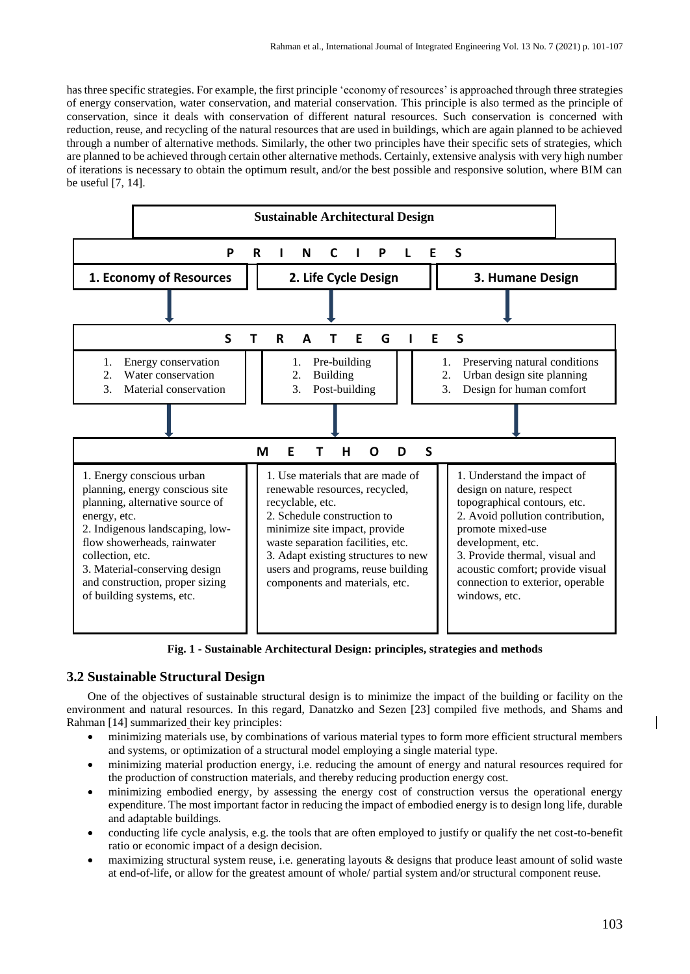has three specific strategies. For example, the first principle 'economy of resources' is approached through three strategies of energy conservation, water conservation, and material conservation. This principle is also termed as the principle of conservation, since it deals with conservation of different natural resources. Such conservation is concerned with reduction, reuse, and recycling of the natural resources that are used in buildings, which are again planned to be achieved through a number of alternative methods. Similarly, the other two principles have their specific sets of strategies, which are planned to be achieved through certain other alternative methods. Certainly, extensive analysis with very high number of iterations is necessary to obtain the optimum result, and/or the best possible and responsive solution, where BIM can be useful [7, 14].



**Fig. 1 - Sustainable Architectural Design: principles, strategies and methods**

## **3.2 Sustainable Structural Design**

One of the objectives of sustainable structural design is to minimize the impact of the building or facility on the environment and natural resources. In this regard, Danatzko and Sezen [23] compiled five methods, and Shams and Rahman [14] summarized their key principles:

- minimizing materials use, by combinations of various material types to form more efficient structural members and systems, or optimization of a structural model employing a single material type.
- minimizing material production energy, i.e. reducing the amount of energy and natural resources required for the production of construction materials, and thereby reducing production energy cost.
- minimizing embodied energy, by assessing the energy cost of construction versus the operational energy expenditure. The most important factor in reducing the impact of embodied energy is to design long life, durable and adaptable buildings.
- conducting life cycle analysis, e.g. the tools that are often employed to justify or qualify the net cost-to-benefit ratio or economic impact of a design decision.
- maximizing structural system reuse, i.e. generating layouts & designs that produce least amount of solid waste at end-of-life, or allow for the greatest amount of whole/ partial system and/or structural component reuse.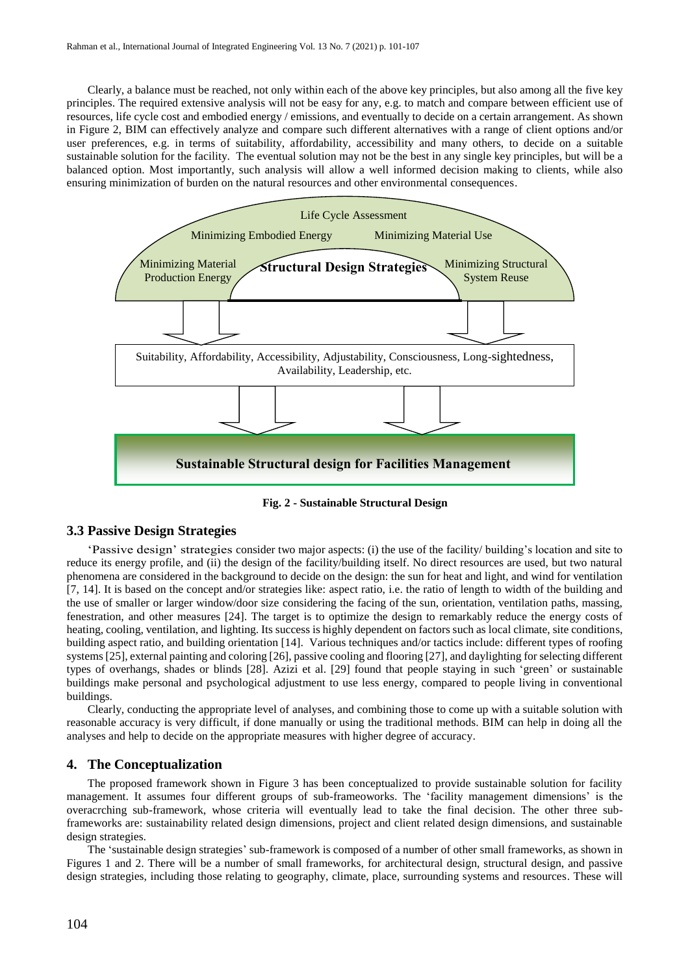Clearly, a balance must be reached, not only within each of the above key principles, but also among all the five key principles. The required extensive analysis will not be easy for any, e.g. to match and compare between efficient use of resources, life cycle cost and embodied energy / emissions, and eventually to decide on a certain arrangement. As shown in Figure 2, BIM can effectively analyze and compare such different alternatives with a range of client options and/or user preferences, e.g. in terms of suitability, affordability, accessibility and many others, to decide on a suitable sustainable solution for the facility. The eventual solution may not be the best in any single key principles, but will be a balanced option. Most importantly, such analysis will allow a well informed decision making to clients, while also ensuring minimization of burden on the natural resources and other environmental consequences.



**Fig. 2 - Sustainable Structural Design**

## **3.3 Passive Design Strategies**

'Passive design' strategies consider two major aspects: (i) the use of the facility/ building's location and site to reduce its energy profile, and (ii) the design of the facility/building itself. No direct resources are used, but two natural phenomena are considered in the background to decide on the design: the sun for heat and light, and wind for ventilation [7, 14]. It is based on the concept and/or strategies like: aspect ratio, i.e. the ratio of length to width of the building and the use of smaller or larger window/door size considering the facing of the sun, orientation, ventilation paths, massing, fenestration, and other measures [24]. The target is to optimize the design to remarkably reduce the energy costs of heating, cooling, ventilation, and lighting. Its success is highly dependent on factors such as local climate, site conditions, building aspect ratio, and building orientation [14]. Various techniques and/or tactics include: different types of roofing systems[25], external painting and coloring [26], passive cooling and flooring [27], and daylighting for selecting different types of overhangs, shades or blinds [28]. Azizi et al. [29] found that people staying in such 'green' or sustainable buildings make personal and psychological adjustment to use less energy, compared to people living in conventional buildings.

Clearly, conducting the appropriate level of analyses, and combining those to come up with a suitable solution with reasonable accuracy is very difficult, if done manually or using the traditional methods. BIM can help in doing all the analyses and help to decide on the appropriate measures with higher degree of accuracy.

## **4. The Conceptualization**

The proposed framework shown in Figure 3 has been conceptualized to provide sustainable solution for facility management. It assumes four different groups of sub-frameoworks. The 'facility management dimensions' is the overacrching sub-framework, whose criteria will eventually lead to take the final decision. The other three subframeworks are: sustainability related design dimensions, project and client related design dimensions, and sustainable design strategies.

The 'sustainable design strategies' sub-framework is composed of a number of other small frameworks, as shown in Figures 1 and 2. There will be a number of small frameworks, for architectural design, structural design, and passive design strategies, including those relating to geography, climate, place, surrounding systems and resources. These will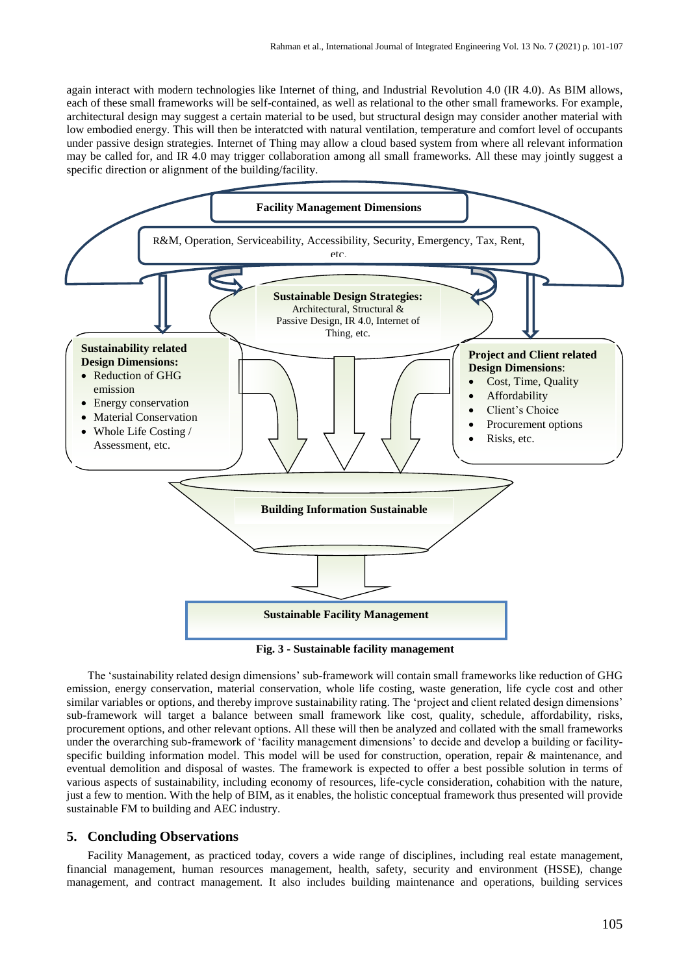again interact with modern technologies like Internet of thing, and Industrial Revolution 4.0 (IR 4.0). As BIM allows, each of these small frameworks will be self-contained, as well as relational to the other small frameworks. For example, architectural design may suggest a certain material to be used, but structural design may consider another material with low embodied energy. This will then be interatcted with natural ventilation, temperature and comfort level of occupants under passive design strategies. Internet of Thing may allow a cloud based system from where all relevant information may be called for, and IR 4.0 may trigger collaboration among all small frameworks. All these may jointly suggest a specific direction or alignment of the building/facility.



**Fig. 3 - Sustainable facility management**

The 'sustainability related design dimensions' sub-framework will contain small frameworks like reduction of GHG emission, energy conservation, material conservation, whole life costing, waste generation, life cycle cost and other similar variables or options, and thereby improve sustainability rating. The 'project and client related design dimensions' sub-framework will target a balance between small framework like cost, quality, schedule, affordability, risks, procurement options, and other relevant options. All these will then be analyzed and collated with the small frameworks under the overarching sub-framework of 'facility management dimensions' to decide and develop a building or facilityspecific building information model. This model will be used for construction, operation, repair & maintenance, and eventual demolition and disposal of wastes. The framework is expected to offer a best possible solution in terms of various aspects of sustainability, including economy of resources, life-cycle consideration, cohabition with the nature, just a few to mention. With the help of BIM, as it enables, the holistic conceptual framework thus presented will provide sustainable FM to building and AEC industry.

### **5. Concluding Observations**

Facility Management, as practiced today, covers a wide range of disciplines, including real estate management, financial management, human resources management, health, safety, security and environment (HSSE), change management, and contract management. It also includes building maintenance and operations, building services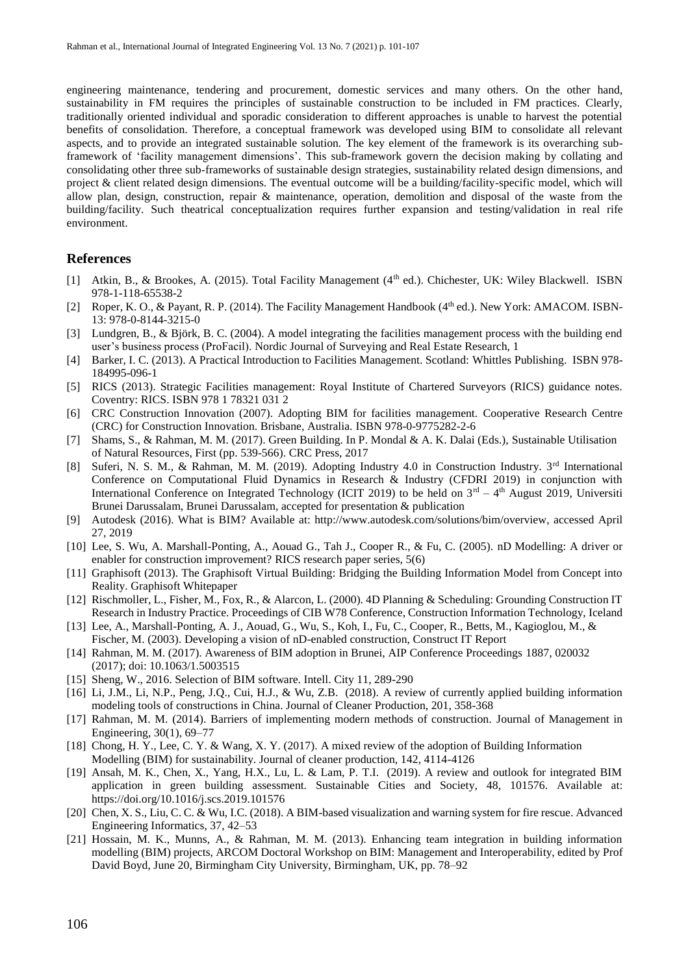engineering maintenance, tendering and procurement, domestic services and many others. On the other hand, sustainability in FM requires the principles of sustainable construction to be included in FM practices. Clearly, traditionally oriented individual and sporadic consideration to different approaches is unable to harvest the potential benefits of consolidation. Therefore, a conceptual framework was developed using BIM to consolidate all relevant aspects, and to provide an integrated sustainable solution. The key element of the framework is its overarching subframework of 'facility management dimensions'. This sub-framework govern the decision making by collating and consolidating other three sub-frameworks of sustainable design strategies, sustainability related design dimensions, and project & client related design dimensions. The eventual outcome will be a building/facility-specific model, which will allow plan, design, construction, repair & maintenance, operation, demolition and disposal of the waste from the building/facility. Such theatrical conceptualization requires further expansion and testing/validation in real rife environment.

## **References**

- [1] Atkin, B., & Brookes, A. (2015). Total Facility Management (4<sup>th</sup> ed.). Chichester, UK: Wiley Blackwell. ISBN 978-1-118-65538-2
- [2] Roper, K. O., & Payant, R. P. (2014). The Facility Management Handbook (4<sup>th</sup> ed.). New York: AMACOM. ISBN-13: 978-0-8144-3215-0
- [3] Lundgren, B., & Björk, B. C. (2004). A model integrating the facilities management process with the building end user's business process (ProFacil). Nordic Journal of Surveying and Real Estate Research, 1
- [4] Barker, I. C. (2013). A Practical Introduction to Facilities Management. Scotland: Whittles Publishing. ISBN 978- 184995-096-1
- [5] RICS (2013). Strategic Facilities management: Royal Institute of Chartered Surveyors (RICS) guidance notes. Coventry: RICS. ISBN 978 1 78321 031 2
- [6] CRC Construction Innovation (2007). Adopting BIM for facilities management. Cooperative Research Centre (CRC) for Construction Innovation. Brisbane, Australia. ISBN 978-0-9775282-2-6
- [7] Shams, S., & Rahman, M. M. (2017). Green Building. In P. Mondal & A. K. Dalai (Eds.), Sustainable Utilisation of Natural Resources, First (pp. 539-566). CRC Press, 2017
- [8] Suferi, N. S. M., & Rahman, M. M. (2019). Adopting Industry 4.0 in Construction Industry. 3rd International Conference on Computational Fluid Dynamics in Research & Industry (CFDRI 2019) in conjunction with International Conference on Integrated Technology (ICIT 2019) to be held on  $3<sup>rd</sup> - 4<sup>th</sup>$  August 2019, Universiti Brunei Darussalam, Brunei Darussalam, accepted for presentation & publication
- [9] Autodesk (2016). What is BIM? Available at: [http://www.autodesk.com/solutions/bim/overview,](http://www.autodesk.com/solutions/bim/overview) accessed April 27, 2019
- [10] Lee, S. Wu, A. Marshall-Ponting, A., Aouad G., Tah J., Cooper R., & Fu, C. (2005). nD Modelling: A driver or enabler for construction improvement? RICS research paper series, 5(6)
- [11] Graphisoft (2013). The Graphisoft Virtual Building: Bridging the Building Information Model from Concept into Reality. Graphisoft Whitepaper
- [12] Rischmoller, L., Fisher, M., Fox, R., & Alarcon, L. (2000). 4D Planning & Scheduling: Grounding Construction IT Research in Industry Practice. Proceedings of CIB W78 Conference, Construction Information Technology, Iceland
- [13] Lee, A., Marshall-Ponting, A. J., Aouad, G., Wu, S., Koh, I., Fu, C., Cooper, R., Betts, M., Kagioglou, M., & Fischer, M. (2003). Developing a vision of nD-enabled construction, Construct IT Report
- [14] Rahman, M. M. (2017). Awareness of BIM adoption in Brunei, AIP Conference Proceedings 1887, 020032 (2017); doi: 10.1063/1.5003515
- [15] Sheng, W., 2016. Selection of BIM software. Intell. City 11, 289-290
- [16] Li, J.M., Li, N.P., Peng, J.Q., Cui, H.J., & Wu, Z.B. (2018). A review of currently applied building information modeling tools of constructions in China. Journal of Cleaner Production, 201, 358-368
- [17] Rahman, M. M. (2014). Barriers of implementing modern methods of construction. Journal of Management in Engineering, 30(1), 69–77
- [18] Chong, H. Y., Lee, C. Y. & Wang, X. Y. (2017). A mixed review of the adoption of Building Information Modelling (BIM) for sustainability. Journal of cleaner production, 142, 4114-4126
- [19] Ansah, M. K., Chen, X., Yang, H.X., Lu, L. & Lam, P. T.I. (2019). A review and outlook for integrated BIM application in green building assessment. Sustainable Cities and Society, 48, 101576. Available at: <https://doi.org/10.1016/j.scs.2019.101576>
- [20] Chen, X. S., Liu, C. C. & Wu, I.C. (2018). A BIM-based visualization and warning system for fire rescue. Advanced Engineering Informatics, 37, 42–53
- [21] Hossain, M. K., Munns, A., & Rahman, M. M. (2013). Enhancing team integration in building information modelling (BIM) projects, ARCOM Doctoral Workshop on BIM: Management and Interoperability, edited by Prof David Boyd, June 20, Birmingham City University, Birmingham, UK, pp. 78–92